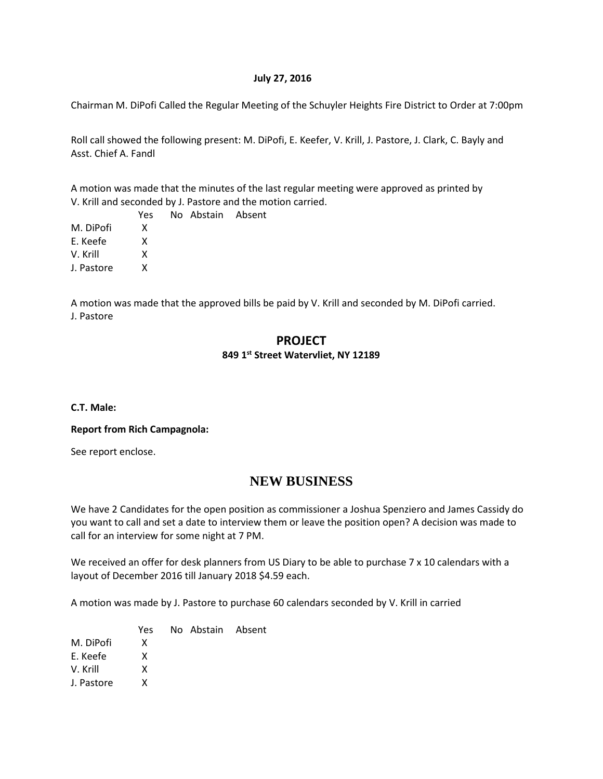#### **July 27, 2016**

Chairman M. DiPofi Called the Regular Meeting of the Schuyler Heights Fire District to Order at 7:00pm

Roll call showed the following present: M. DiPofi, E. Keefer, V. Krill, J. Pastore, J. Clark, C. Bayly and Asst. Chief A. Fandl

A motion was made that the minutes of the last regular meeting were approved as printed by V. Krill and seconded by J. Pastore and the motion carried.

|            | Yes | No Abstain Absent |  |
|------------|-----|-------------------|--|
| M. DiPofi  | x   |                   |  |
| E. Keefe   | x   |                   |  |
| V. Krill   | x   |                   |  |
| J. Pastore | x   |                   |  |
|            |     |                   |  |

A motion was made that the approved bills be paid by V. Krill and seconded by M. DiPofi carried. J. Pastore

### **PROJECT 849 1st Street Watervliet, NY 12189**

**C.T. Male:**

#### **Report from Rich Campagnola:**

See report enclose.

# **NEW BUSINESS**

We have 2 Candidates for the open position as commissioner a Joshua Spenziero and James Cassidy do you want to call and set a date to interview them or leave the position open? A decision was made to call for an interview for some night at 7 PM.

We received an offer for desk planners from US Diary to be able to purchase 7 x 10 calendars with a layout of December 2016 till January 2018 \$4.59 each.

A motion was made by J. Pastore to purchase 60 calendars seconded by V. Krill in carried

Yes No Abstain Absent

M. DiPofi X

E. Keefe X

V. Krill X

J. Pastore X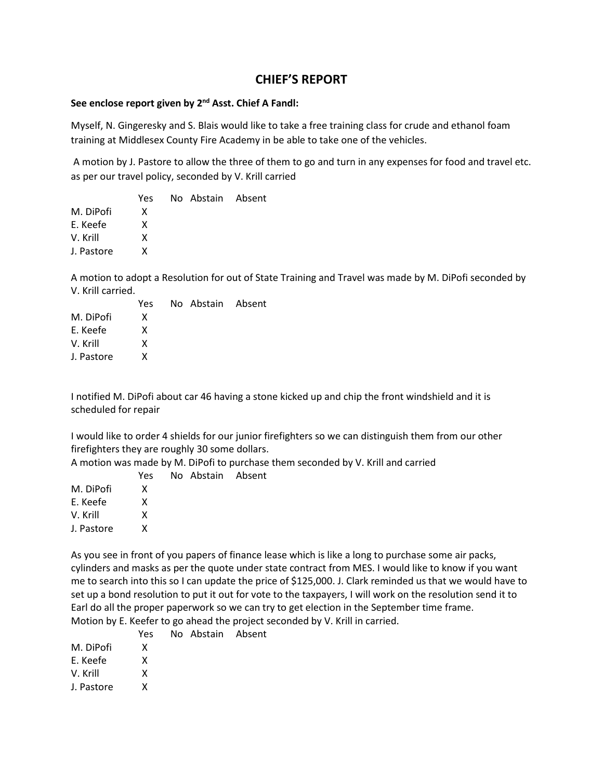## **CHIEF'S REPORT**

### **See enclose report given by 2nd Asst. Chief A Fandl:**

Myself, N. Gingeresky and S. Blais would like to take a free training class for crude and ethanol foam training at Middlesex County Fire Academy in be able to take one of the vehicles.

A motion by J. Pastore to allow the three of them to go and turn in any expenses for food and travel etc. as per our travel policy, seconded by V. Krill carried

|            | Yes | No Abstain Absent |  |
|------------|-----|-------------------|--|
| M. DiPofi  | x   |                   |  |
| E. Keefe   | x   |                   |  |
| V. Krill   | x   |                   |  |
| J. Pastore | x   |                   |  |
|            |     |                   |  |

A motion to adopt a Resolution for out of State Training and Travel was made by M. DiPofi seconded by V. Krill carried.

|            | Yes | No Abstain Absent |  |
|------------|-----|-------------------|--|
| M. DiPofi  | X   |                   |  |
| E. Keefe   | x   |                   |  |
| V. Krill   | x   |                   |  |
| J. Pastore | x   |                   |  |

I notified M. DiPofi about car 46 having a stone kicked up and chip the front windshield and it is scheduled for repair

I would like to order 4 shields for our junior firefighters so we can distinguish them from our other firefighters they are roughly 30 some dollars.

A motion was made by M. DiPofi to purchase them seconded by V. Krill and carried

|            | Yes | No Abstain Absent |  |
|------------|-----|-------------------|--|
| M. DiPofi  | x   |                   |  |
| E. Keefe   | x   |                   |  |
| V. Krill   | x   |                   |  |
| J. Pastore | x   |                   |  |
|            |     |                   |  |

As you see in front of you papers of finance lease which is like a long to purchase some air packs, cylinders and masks as per the quote under state contract from MES. I would like to know if you want me to search into this so I can update the price of \$125,000. J. Clark reminded us that we would have to set up a bond resolution to put it out for vote to the taxpayers, I will work on the resolution send it to Earl do all the proper paperwork so we can try to get election in the September time frame. Motion by E. Keefer to go ahead the project seconded by V. Krill in carried.

|                                        | Yes | No Abstain Absent |  |
|----------------------------------------|-----|-------------------|--|
| M. DiPofi                              | X   |                   |  |
| E. Keefe                               | x   |                   |  |
| V. Krill                               | x   |                   |  |
| $\mathbf{1}$ . The set of $\mathbf{1}$ |     |                   |  |

J. Pastore X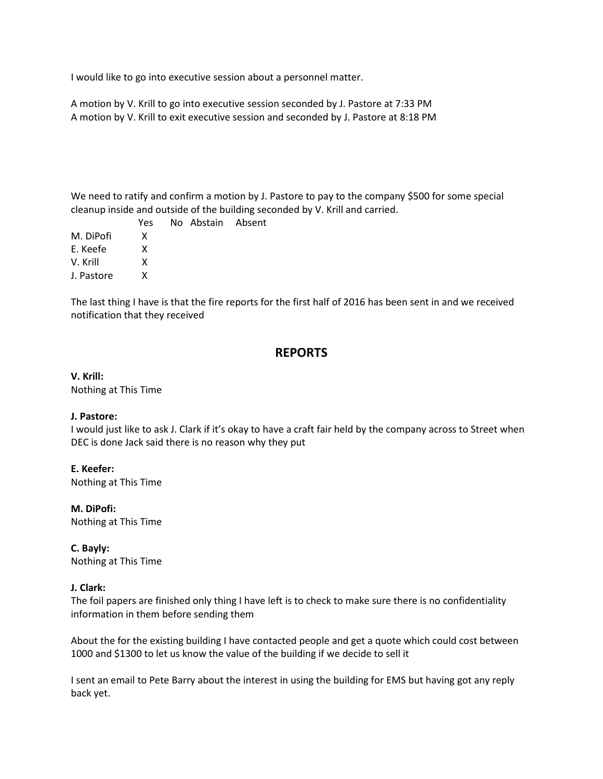I would like to go into executive session about a personnel matter.

A motion by V. Krill to go into executive session seconded by J. Pastore at 7:33 PM A motion by V. Krill to exit executive session and seconded by J. Pastore at 8:18 PM

We need to ratify and confirm a motion by J. Pastore to pay to the company \$500 for some special cleanup inside and outside of the building seconded by V. Krill and carried.

 Yes No Abstain Absent M. DiPofi X E. Keefe X V. Krill X J. Pastore X

The last thing I have is that the fire reports for the first half of 2016 has been sent in and we received notification that they received

# **REPORTS**

**V. Krill:** Nothing at This Time

#### **J. Pastore:**

I would just like to ask J. Clark if it's okay to have a craft fair held by the company across to Street when DEC is done Jack said there is no reason why they put

**E. Keefer:** Nothing at This Time

**M. DiPofi:** Nothing at This Time

**C. Bayly:** Nothing at This Time

#### **J. Clark:**

The foil papers are finished only thing I have left is to check to make sure there is no confidentiality information in them before sending them

About the for the existing building I have contacted people and get a quote which could cost between 1000 and \$1300 to let us know the value of the building if we decide to sell it

I sent an email to Pete Barry about the interest in using the building for EMS but having got any reply back yet.